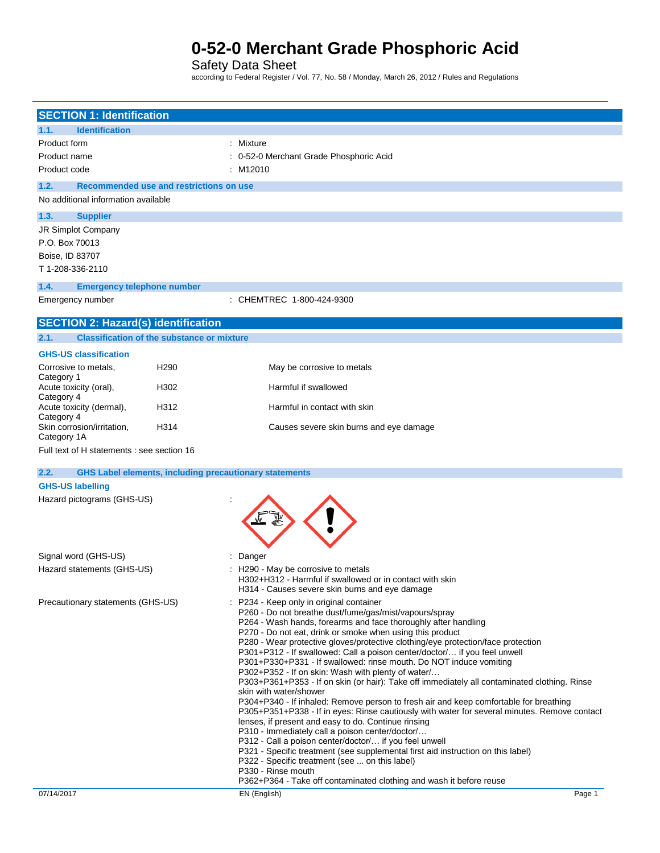Safety Data Sheet

according to Federal Register / Vol. 77, No. 58 / Monday, March 26, 2012 / Rules and Regulations

| <b>SECTION 1: Identification</b>                                      |                                                                                                                                                                                                                 |
|-----------------------------------------------------------------------|-----------------------------------------------------------------------------------------------------------------------------------------------------------------------------------------------------------------|
| <b>Identification</b><br>1.1.                                         |                                                                                                                                                                                                                 |
| Product form                                                          | : Mixture                                                                                                                                                                                                       |
| Product name                                                          | : 0-52-0 Merchant Grade Phosphoric Acid                                                                                                                                                                         |
| Product code                                                          | : M12010                                                                                                                                                                                                        |
| 1.2.<br>Recommended use and restrictions on use                       |                                                                                                                                                                                                                 |
| No additional information available                                   |                                                                                                                                                                                                                 |
| 1.3.<br><b>Supplier</b>                                               |                                                                                                                                                                                                                 |
| JR Simplot Company                                                    |                                                                                                                                                                                                                 |
| P.O. Box 70013                                                        |                                                                                                                                                                                                                 |
| Boise, ID 83707                                                       |                                                                                                                                                                                                                 |
| T 1-208-336-2110                                                      |                                                                                                                                                                                                                 |
| 1.4.<br><b>Emergency telephone number</b>                             |                                                                                                                                                                                                                 |
| Emergency number                                                      | : CHEMTREC 1-800-424-9300                                                                                                                                                                                       |
| <b>SECTION 2: Hazard(s) identification</b>                            |                                                                                                                                                                                                                 |
| <b>Classification of the substance or mixture</b><br>2.1.             |                                                                                                                                                                                                                 |
| <b>GHS-US classification</b>                                          |                                                                                                                                                                                                                 |
| H <sub>290</sub><br>Corrosive to metals,                              | May be corrosive to metals                                                                                                                                                                                      |
| Category 1<br>Acute toxicity (oral),<br>H302                          | Harmful if swallowed                                                                                                                                                                                            |
| Category 4<br>Acute toxicity (dermal),<br>H312                        | Harmful in contact with skin                                                                                                                                                                                    |
| Category 4<br>Skin corrosion/irritation,<br>H314<br>Category 1A       | Causes severe skin burns and eye damage                                                                                                                                                                         |
| Full text of H statements : see section 16                            |                                                                                                                                                                                                                 |
| 2.2.<br><b>GHS Label elements, including precautionary statements</b> |                                                                                                                                                                                                                 |
| <b>GHS-US labelling</b>                                               |                                                                                                                                                                                                                 |
| Hazard pictograms (GHS-US)                                            |                                                                                                                                                                                                                 |
|                                                                       |                                                                                                                                                                                                                 |
|                                                                       |                                                                                                                                                                                                                 |
|                                                                       |                                                                                                                                                                                                                 |
| Signal word (GHS-US)                                                  | Danger                                                                                                                                                                                                          |
| Hazard statements (GHS-US)                                            | H <sub>290</sub> - May be corrosive to metals                                                                                                                                                                   |
|                                                                       | H302+H312 - Harmful if swallowed or in contact with skin                                                                                                                                                        |
|                                                                       | H314 - Causes severe skin burns and eye damage                                                                                                                                                                  |
| Precautionary statements (GHS-US)                                     | : P234 - Keep only in original container                                                                                                                                                                        |
|                                                                       | P260 - Do not breathe dust/fume/gas/mist/vapours/spray<br>P264 - Wash hands, forearms and face thoroughly after handling                                                                                        |
|                                                                       | P270 - Do not eat, drink or smoke when using this product                                                                                                                                                       |
|                                                                       | P280 - Wear protective gloves/protective clothing/eye protection/face protection                                                                                                                                |
|                                                                       | P301+P312 - If swallowed: Call a poison center/doctor/ if you feel unwell<br>P301+P330+P331 - If swallowed: rinse mouth. Do NOT induce vomiting                                                                 |
|                                                                       | P302+P352 - If on skin: Wash with plenty of water/                                                                                                                                                              |
|                                                                       | P303+P361+P353 - If on skin (or hair): Take off immediately all contaminated clothing. Rinse                                                                                                                    |
|                                                                       | skin with water/shower<br>P304+P340 - If inhaled: Remove person to fresh air and keep comfortable for breathing<br>P305+P351+P338 - If in eyes: Rinse cautiously with water for several minutes. Remove contact |
|                                                                       | lenses, if present and easy to do. Continue rinsing                                                                                                                                                             |
|                                                                       | P310 - Immediately call a poison center/doctor/<br>P312 - Call a poison center/doctor/ if you feel unwell                                                                                                       |
|                                                                       | P321 - Specific treatment (see supplemental first aid instruction on this label)                                                                                                                                |
|                                                                       | P322 - Specific treatment (see  on this label)                                                                                                                                                                  |
|                                                                       | P330 - Rinse mouth<br>P362+P364 - Take off contaminated clothing and wash it before reuse                                                                                                                       |
| 07/14/2017                                                            | EN (English)<br>Page 1                                                                                                                                                                                          |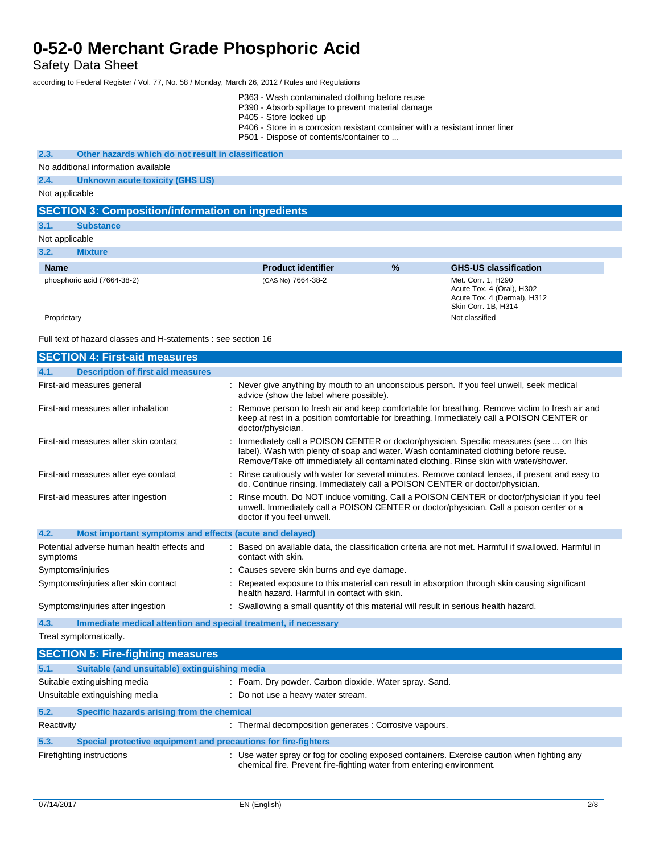Safety Data Sheet

according to Federal Register / Vol. 77, No. 58 / Monday, March 26, 2012 / Rules and Regulations

|                |                                                          | P363 - Wash contaminated clothing before reuse<br>P390 - Absorb spillage to prevent material damage<br>P405 - Store locked up<br>P406 - Store in a corrosion resistant container with a resistant inner liner<br>P501 - Dispose of contents/container to |
|----------------|----------------------------------------------------------|----------------------------------------------------------------------------------------------------------------------------------------------------------------------------------------------------------------------------------------------------------|
| 2.3.           | Other hazards which do not result in classification      |                                                                                                                                                                                                                                                          |
|                | No additional information available                      |                                                                                                                                                                                                                                                          |
| 2.4.           | Unknown acute toxicity (GHS US)                          |                                                                                                                                                                                                                                                          |
| Not applicable |                                                          |                                                                                                                                                                                                                                                          |
|                | <b>SECTION 3: Composition/information on ingredients</b> |                                                                                                                                                                                                                                                          |

### **3.1. Substance**

#### Not applicable

**3.2. Mixture**

| <b>Name</b>                 | <b>Product identifier</b> | $\frac{9}{6}$ | <b>GHS-US classification</b>                                                                          |
|-----------------------------|---------------------------|---------------|-------------------------------------------------------------------------------------------------------|
| phosphoric acid (7664-38-2) | (CAS No) 7664-38-2        |               | Met. Corr. 1, H290<br>Acute Tox. 4 (Oral), H302<br>Acute Tox. 4 (Dermal), H312<br>Skin Corr. 1B, H314 |
| Proprietary                 |                           |               | Not classified                                                                                        |

Full text of hazard classes and H-statements : see section 16

| <b>SECTION 4: First-aid measures</b>                                    |                                                                                                                                                                                                                                                                       |
|-------------------------------------------------------------------------|-----------------------------------------------------------------------------------------------------------------------------------------------------------------------------------------------------------------------------------------------------------------------|
| <b>Description of first aid measures</b><br>4.1.                        |                                                                                                                                                                                                                                                                       |
| First-aid measures general                                              | : Never give anything by mouth to an unconscious person. If you feel unwell, seek medical<br>advice (show the label where possible).                                                                                                                                  |
| First-aid measures after inhalation                                     | : Remove person to fresh air and keep comfortable for breathing. Remove victim to fresh air and<br>keep at rest in a position comfortable for breathing. Immediately call a POISON CENTER or<br>doctor/physician.                                                     |
| First-aid measures after skin contact                                   | Immediately call a POISON CENTER or doctor/physician. Specific measures (see  on this<br>label). Wash with plenty of soap and water. Wash contaminated clothing before reuse.<br>Remove/Take off immediately all contaminated clothing. Rinse skin with water/shower. |
| First-aid measures after eye contact                                    | Rinse cautiously with water for several minutes. Remove contact lenses, if present and easy to<br>do. Continue rinsing. Immediately call a POISON CENTER or doctor/physician.                                                                                         |
| First-aid measures after ingestion                                      | Rinse mouth. Do NOT induce vomiting. Call a POISON CENTER or doctor/physician if you feel<br>unwell. Immediately call a POISON CENTER or doctor/physician. Call a poison center or a<br>doctor if you feel unwell.                                                    |
| 4.2.<br>Most important symptoms and effects (acute and delayed)         |                                                                                                                                                                                                                                                                       |
| Potential adverse human health effects and<br>symptoms                  | Based on available data, the classification criteria are not met. Harmful if swallowed. Harmful in<br>contact with skin.                                                                                                                                              |
| Symptoms/injuries                                                       | : Causes severe skin burns and eye damage.                                                                                                                                                                                                                            |
| Symptoms/injuries after skin contact                                    | Repeated exposure to this material can result in absorption through skin causing significant<br>health hazard. Harmful in contact with skin.                                                                                                                          |
| Symptoms/injuries after ingestion                                       | : Swallowing a small quantity of this material will result in serious health hazard.                                                                                                                                                                                  |
| 4.3.<br>Immediate medical attention and special treatment, if necessary |                                                                                                                                                                                                                                                                       |
| Treat symptomatically.                                                  |                                                                                                                                                                                                                                                                       |
| <b>SECTION 5: Fire-fighting measures</b>                                |                                                                                                                                                                                                                                                                       |
| 5.1.<br>Suitable (and unsuitable) extinguishing media                   |                                                                                                                                                                                                                                                                       |
| Suitable extinguishing media                                            | : Foam. Dry powder. Carbon dioxide. Water spray. Sand.                                                                                                                                                                                                                |
| Unsuitable extinguishing media                                          | : Do not use a heavy water stream.                                                                                                                                                                                                                                    |
| 5.2.<br>Specific hazards arising from the chemical                      |                                                                                                                                                                                                                                                                       |
| Reactivity                                                              | : Thermal decomposition generates : Corrosive vapours.                                                                                                                                                                                                                |
| Special protective equipment and precautions for fire-fighters<br>5.3.  |                                                                                                                                                                                                                                                                       |
| Firefighting instructions                                               | : Use water spray or fog for cooling exposed containers. Exercise caution when fighting any<br>chemical fire. Prevent fire-fighting water from entering environment.                                                                                                  |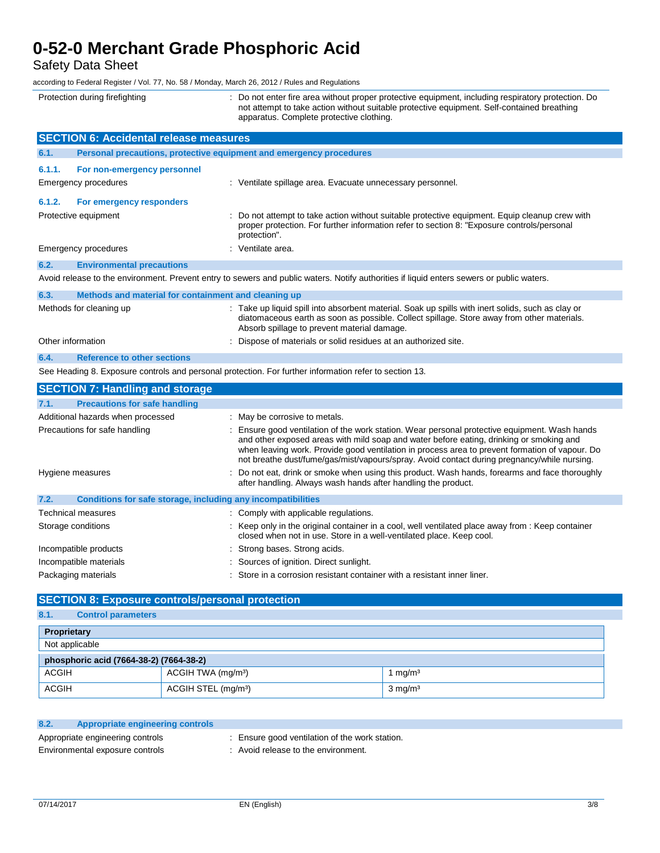Safety Data Sheet

according to Federal Register / Vol. 77, No. 58 / Monday, March 26, 2012 / Rules and Regulations

| according to Federal Register / Vol. 77, No. 58 / Monday, March 26, 2012 / Rules and Regulations |                                                                                                                                                                                                                                                                                                                                                                                           |
|--------------------------------------------------------------------------------------------------|-------------------------------------------------------------------------------------------------------------------------------------------------------------------------------------------------------------------------------------------------------------------------------------------------------------------------------------------------------------------------------------------|
| Protection during firefighting                                                                   | : Do not enter fire area without proper protective equipment, including respiratory protection. Do<br>not attempt to take action without suitable protective equipment. Self-contained breathing<br>apparatus. Complete protective clothing.                                                                                                                                              |
| <b>SECTION 6: Accidental release measures</b>                                                    |                                                                                                                                                                                                                                                                                                                                                                                           |
| Personal precautions, protective equipment and emergency procedures<br>6.1.                      |                                                                                                                                                                                                                                                                                                                                                                                           |
| 6.1.1.<br>For non-emergency personnel                                                            |                                                                                                                                                                                                                                                                                                                                                                                           |
| <b>Emergency procedures</b>                                                                      | : Ventilate spillage area. Evacuate unnecessary personnel.                                                                                                                                                                                                                                                                                                                                |
| 6.1.2.<br>For emergency responders                                                               |                                                                                                                                                                                                                                                                                                                                                                                           |
| Protective equipment                                                                             | Do not attempt to take action without suitable protective equipment. Equip cleanup crew with<br>proper protection. For further information refer to section 8: "Exposure controls/personal<br>protection".                                                                                                                                                                                |
| <b>Emergency procedures</b>                                                                      | : Ventilate area.                                                                                                                                                                                                                                                                                                                                                                         |
| 6.2.<br><b>Environmental precautions</b>                                                         |                                                                                                                                                                                                                                                                                                                                                                                           |
|                                                                                                  | Avoid release to the environment. Prevent entry to sewers and public waters. Notify authorities if liquid enters sewers or public waters.                                                                                                                                                                                                                                                 |
| 6.3.<br>Methods and material for containment and cleaning up                                     |                                                                                                                                                                                                                                                                                                                                                                                           |
| Methods for cleaning up                                                                          | : Take up liquid spill into absorbent material. Soak up spills with inert solids, such as clay or<br>diatomaceous earth as soon as possible. Collect spillage. Store away from other materials.<br>Absorb spillage to prevent material damage.                                                                                                                                            |
| Other information                                                                                | : Dispose of materials or solid residues at an authorized site.                                                                                                                                                                                                                                                                                                                           |
| <b>Reference to other sections</b><br>6.4.                                                       |                                                                                                                                                                                                                                                                                                                                                                                           |
|                                                                                                  | See Heading 8. Exposure controls and personal protection. For further information refer to section 13.                                                                                                                                                                                                                                                                                    |
| <b>SECTION 7: Handling and storage</b>                                                           |                                                                                                                                                                                                                                                                                                                                                                                           |
| 7.1.<br><b>Precautions for safe handling</b>                                                     |                                                                                                                                                                                                                                                                                                                                                                                           |
| Additional hazards when processed                                                                | : May be corrosive to metals.                                                                                                                                                                                                                                                                                                                                                             |
| Precautions for safe handling                                                                    | : Ensure good ventilation of the work station. Wear personal protective equipment. Wash hands<br>and other exposed areas with mild soap and water before eating, drinking or smoking and<br>when leaving work. Provide good ventilation in process area to prevent formation of vapour. Do<br>not breathe dust/fume/gas/mist/vapours/spray. Avoid contact during pregnancy/while nursing. |
| Hygiene measures                                                                                 | : Do not eat, drink or smoke when using this product. Wash hands, forearms and face thoroughly<br>after handling. Always wash hands after handling the product.                                                                                                                                                                                                                           |
| 7.2.<br>Conditions for safe storage, including any incompatibilities                             |                                                                                                                                                                                                                                                                                                                                                                                           |
| Technical measures                                                                               | : Comply with applicable regulations.                                                                                                                                                                                                                                                                                                                                                     |
| Storage conditions                                                                               | : Keep only in the original container in a cool, well ventilated place away from : Keep container<br>closed when not in use. Store in a well-ventilated place. Keep cool.                                                                                                                                                                                                                 |

Incompatible products : Strong bases. Strong acids.

## Incompatible materials **incompatible materials** : Sources of ignition. Direct sunlight.

Packaging materials **interpretatal interpretatal interests of the Container with a resistant inner liner.** 

### **SECTION 8: Exposure controls/personal protection**

# **8.1. Control parameters**

| Proprietary                             |                                 |                    |
|-----------------------------------------|---------------------------------|--------------------|
| Not applicable                          |                                 |                    |
| phosphoric acid (7664-38-2) (7664-38-2) |                                 |                    |
| <b>ACGIH</b>                            | ACGIH TWA (mg/m <sup>3</sup> )  | 1 mg/m $3$         |
| <b>ACGIH</b>                            | ACGIH STEL (mg/m <sup>3</sup> ) | $3 \text{ mg/m}^3$ |

| 8.2. | <b>Appropriate engineering controls</b> |  |
|------|-----------------------------------------|--|
|      |                                         |  |

Appropriate engineering controls : Ensure good ventilation of the work station.

Environmental exposure controls : Avoid release to the environment.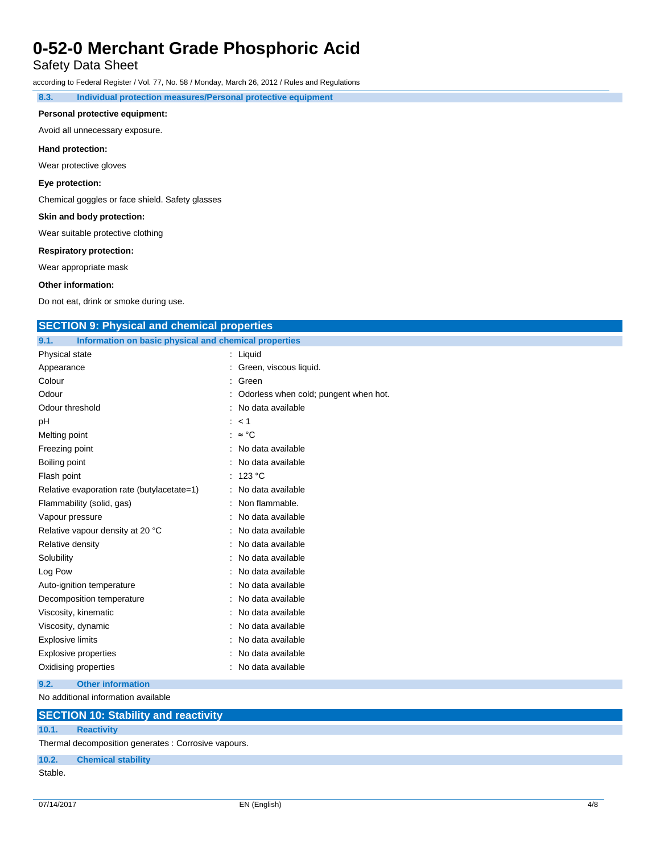## Safety Data Sheet

according to Federal Register / Vol. 77, No. 58 / Monday, March 26, 2012 / Rules and Regulations

**8.3. Individual protection measures/Personal protective equipment**

#### **Personal protective equipment:**

Avoid all unnecessary exposure.

### **Hand protection:**

Wear protective gloves

**Eye protection:**

Chemical goggles or face shield. Safety glasses

#### **Skin and body protection:**

Wear suitable protective clothing

#### **Respiratory protection:**

Wear appropriate mask

#### **Other information:**

Do not eat, drink or smoke during use.

### **SECTION 9: Physical and chemical properties**

| Information on basic physical and chemical properties<br>9.1. |                                       |
|---------------------------------------------------------------|---------------------------------------|
| Physical state                                                | : Liquid                              |
| Appearance                                                    | : Green, viscous liquid.              |
| Colour                                                        | : Green                               |
| Odour                                                         | Odorless when cold; pungent when hot. |
| Odour threshold                                               | : No data available                   |
| pH                                                            | : < 1                                 |
| Melting point                                                 | : $\approx$ °C                        |
| Freezing point                                                | : No data available                   |
| Boiling point                                                 | : No data available                   |
| Flash point                                                   | : 123 $^{\circ}$ C                    |
| Relative evaporation rate (butylacetate=1)                    | : No data available                   |
| Flammability (solid, gas)                                     | : Non flammable.                      |
| Vapour pressure                                               | : No data available                   |
| Relative vapour density at 20 °C                              | : No data available                   |
| Relative density                                              | : No data available                   |
| Solubility                                                    | : No data available                   |
| Log Pow                                                       | : No data available                   |
| Auto-ignition temperature                                     | : No data available                   |
| Decomposition temperature                                     | : No data available                   |
| Viscosity, kinematic                                          | : No data available                   |
| Viscosity, dynamic                                            | : No data available                   |
| <b>Explosive limits</b>                                       | : No data available                   |
| <b>Explosive properties</b>                                   | : No data available                   |
| Oxidising properties                                          | No data available                     |
|                                                               |                                       |

### **9.2. Other information**

No additional information available

### **SECTION 10: Stability and reactivity 10.1. Reactivity**

Thermal decomposition generates : Corrosive vapours.

**10.2. Chemical stability**

## Stable.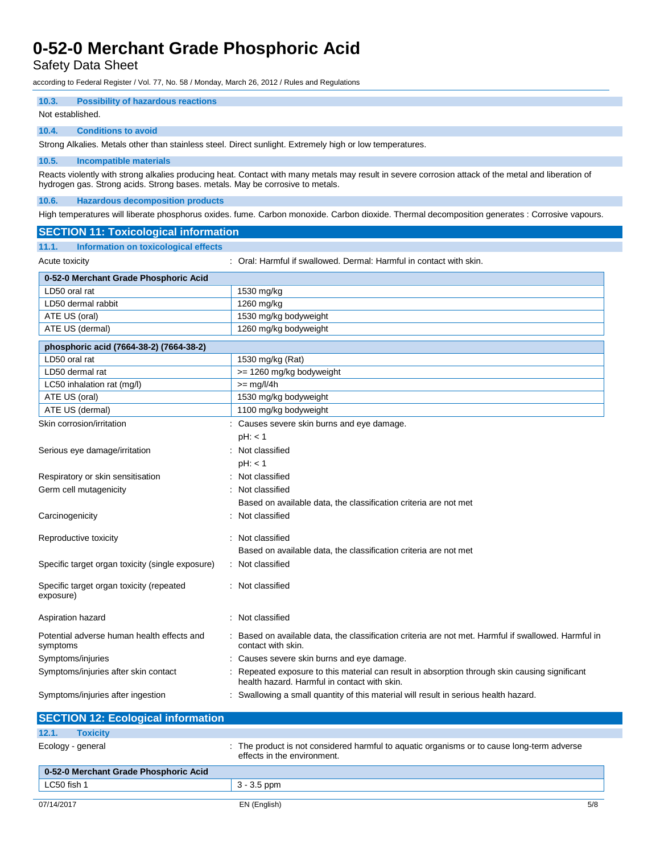Safety Data Sheet

according to Federal Register / Vol. 77, No. 58 / Monday, March 26, 2012 / Rules and Regulations

## **10.3. Possibility of hazardous reactions**

Not established.

### **10.4. Conditions to avoid**

Strong Alkalies. Metals other than stainless steel. Direct sunlight. Extremely high or low temperatures.

#### **10.5. Incompatible materials**

Reacts violently with strong alkalies producing heat. Contact with many metals may result in severe corrosion attack of the metal and liberation of hydrogen gas. Strong acids. Strong bases. metals. May be corrosive to metals.

### **10.6. Hazardous decomposition products**

High temperatures will liberate phosphorus oxides. fume. Carbon monoxide. Carbon dioxide. Thermal decomposition generates : Corrosive vapours.

| <b>SECTION 11: Toxicological information</b>           |                                                                                                                                              |
|--------------------------------------------------------|----------------------------------------------------------------------------------------------------------------------------------------------|
| <b>Information on toxicological effects</b><br>11.1.   |                                                                                                                                              |
| Acute toxicity                                         | : Oral: Harmful if swallowed. Dermal: Harmful in contact with skin.                                                                          |
| 0-52-0 Merchant Grade Phosphoric Acid                  |                                                                                                                                              |
| LD50 oral rat                                          | 1530 mg/kg                                                                                                                                   |
| LD50 dermal rabbit                                     | 1260 mg/kg                                                                                                                                   |
| ATE US (oral)                                          | 1530 mg/kg bodyweight                                                                                                                        |
| ATE US (dermal)                                        | 1260 mg/kg bodyweight                                                                                                                        |
| phosphoric acid (7664-38-2) (7664-38-2)                |                                                                                                                                              |
| LD50 oral rat                                          | 1530 mg/kg (Rat)                                                                                                                             |
| LD50 dermal rat                                        | >= 1260 mg/kg bodyweight                                                                                                                     |
| LC50 inhalation rat (mg/l)                             | $>=$ mg/l/4h                                                                                                                                 |
| ATE US (oral)                                          | 1530 mg/kg bodyweight                                                                                                                        |
| ATE US (dermal)                                        | 1100 mg/kg bodyweight                                                                                                                        |
| Skin corrosion/irritation                              | : Causes severe skin burns and eye damage.                                                                                                   |
|                                                        | pH: < 1                                                                                                                                      |
| Serious eye damage/irritation                          | : Not classified                                                                                                                             |
|                                                        | pH: < 1                                                                                                                                      |
| Respiratory or skin sensitisation                      | Not classified                                                                                                                               |
| Germ cell mutagenicity                                 | Not classified                                                                                                                               |
|                                                        | Based on available data, the classification criteria are not met                                                                             |
| Carcinogenicity                                        | Not classified                                                                                                                               |
| Reproductive toxicity                                  | Not classified                                                                                                                               |
|                                                        | Based on available data, the classification criteria are not met                                                                             |
| Specific target organ toxicity (single exposure)       | : Not classified                                                                                                                             |
| Specific target organ toxicity (repeated<br>exposure)  | Not classified                                                                                                                               |
| Aspiration hazard                                      | Not classified                                                                                                                               |
| Potential adverse human health effects and<br>symptoms | Based on available data, the classification criteria are not met. Harmful if swallowed. Harmful in<br>contact with skin.                     |
| Symptoms/injuries                                      | Causes severe skin burns and eye damage.                                                                                                     |
| Symptoms/injuries after skin contact                   | Repeated exposure to this material can result in absorption through skin causing significant<br>health hazard. Harmful in contact with skin. |
| Symptoms/injuries after ingestion                      | Swallowing a small quantity of this material will result in serious health hazard.                                                           |

| <b>SECTION 12: Ecological information</b> |                                                                                                                           |     |
|-------------------------------------------|---------------------------------------------------------------------------------------------------------------------------|-----|
| 12.1.<br><b>Toxicity</b>                  |                                                                                                                           |     |
| Ecology - general                         | : The product is not considered harmful to aguatic organisms or to cause long-term adverse<br>effects in the environment. |     |
| 0-52-0 Merchant Grade Phosphoric Acid     |                                                                                                                           |     |
| LC50 fish 1                               | $3 - 3.5$ ppm                                                                                                             |     |
| 07/14/2017                                | EN (English)                                                                                                              | 5/8 |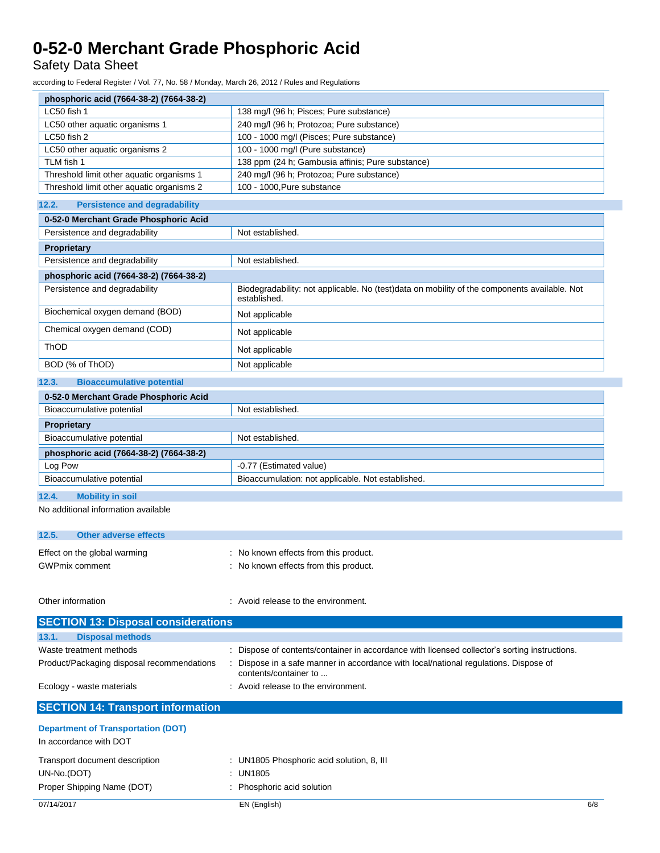Safety Data Sheet

according to Federal Register / Vol. 77, No. 58 / Monday, March 26, 2012 / Rules and Regulations

| phosphoric acid (7664-38-2) (7664-38-2)                             |                                                                                                              |
|---------------------------------------------------------------------|--------------------------------------------------------------------------------------------------------------|
| LC50 fish 1                                                         | 138 mg/l (96 h; Pisces; Pure substance)                                                                      |
| LC50 other aquatic organisms 1                                      | 240 mg/l (96 h; Protozoa; Pure substance)                                                                    |
| LC50 fish 2                                                         | 100 - 1000 mg/l (Pisces; Pure substance)                                                                     |
| LC50 other aquatic organisms 2                                      | 100 - 1000 mg/l (Pure substance)                                                                             |
| TLM fish 1                                                          | 138 ppm (24 h; Gambusia affinis; Pure substance)                                                             |
| Threshold limit other aquatic organisms 1                           | 240 mg/l (96 h; Protozoa; Pure substance)                                                                    |
| Threshold limit other aquatic organisms 2                           | 100 - 1000, Pure substance                                                                                   |
| 12.2.<br><b>Persistence and degradability</b>                       |                                                                                                              |
| 0-52-0 Merchant Grade Phosphoric Acid                               |                                                                                                              |
| Persistence and degradability                                       | Not established.                                                                                             |
| Proprietary                                                         |                                                                                                              |
| Persistence and degradability                                       | Not established.                                                                                             |
| phosphoric acid (7664-38-2) (7664-38-2)                             |                                                                                                              |
| Persistence and degradability                                       | Biodegradability: not applicable. No (test)data on mobility of the components available. Not<br>established. |
| Biochemical oxygen demand (BOD)                                     | Not applicable                                                                                               |
| Chemical oxygen demand (COD)                                        | Not applicable                                                                                               |
| ThOD                                                                | Not applicable                                                                                               |
| BOD (% of ThOD)                                                     | Not applicable                                                                                               |
| 12.3.<br><b>Bioaccumulative potential</b>                           |                                                                                                              |
| 0-52-0 Merchant Grade Phosphoric Acid                               |                                                                                                              |
| Bioaccumulative potential                                           | Not established.                                                                                             |
|                                                                     |                                                                                                              |
| Proprietary                                                         |                                                                                                              |
| Bioaccumulative potential                                           | Not established.                                                                                             |
| phosphoric acid (7664-38-2) (7664-38-2)                             |                                                                                                              |
| Log Pow                                                             | -0.77 (Estimated value)                                                                                      |
| Bioaccumulative potential                                           | Bioaccumulation: not applicable. Not established.                                                            |
| 12.4.<br><b>Mobility in soil</b>                                    |                                                                                                              |
| No additional information available                                 |                                                                                                              |
| 12.5.<br><b>Other adverse effects</b>                               |                                                                                                              |
| Effect on the global warming                                        | : No known effects from this product.                                                                        |
| <b>GWPmix comment</b>                                               | : No known effects from this product.                                                                        |
|                                                                     |                                                                                                              |
| Other information                                                   | . Avoid release to the environment.                                                                          |
| <b>SECTION 13: Disposal considerations</b>                          |                                                                                                              |
| <b>Disposal methods</b><br>13.1.                                    |                                                                                                              |
| Waste treatment methods                                             | : Dispose of contents/container in accordance with licensed collector's sorting instructions.                |
| Product/Packaging disposal recommendations                          | Dispose in a safe manner in accordance with local/national regulations. Dispose of<br>contents/container to  |
| Ecology - waste materials                                           | Avoid release to the environment.                                                                            |
| <b>SECTION 14: Transport information</b>                            |                                                                                                              |
| <b>Department of Transportation (DOT)</b><br>In accordance with DOT |                                                                                                              |
| Transport document description                                      | : UN1805 Phosphoric acid solution, 8, III                                                                    |
| UN-No.(DOT)                                                         | : UN1805                                                                                                     |
| Proper Shipping Name (DOT)                                          |                                                                                                              |
|                                                                     |                                                                                                              |
| 07/14/2017                                                          | : Phosphoric acid solution<br>EN (English)<br>6/8                                                            |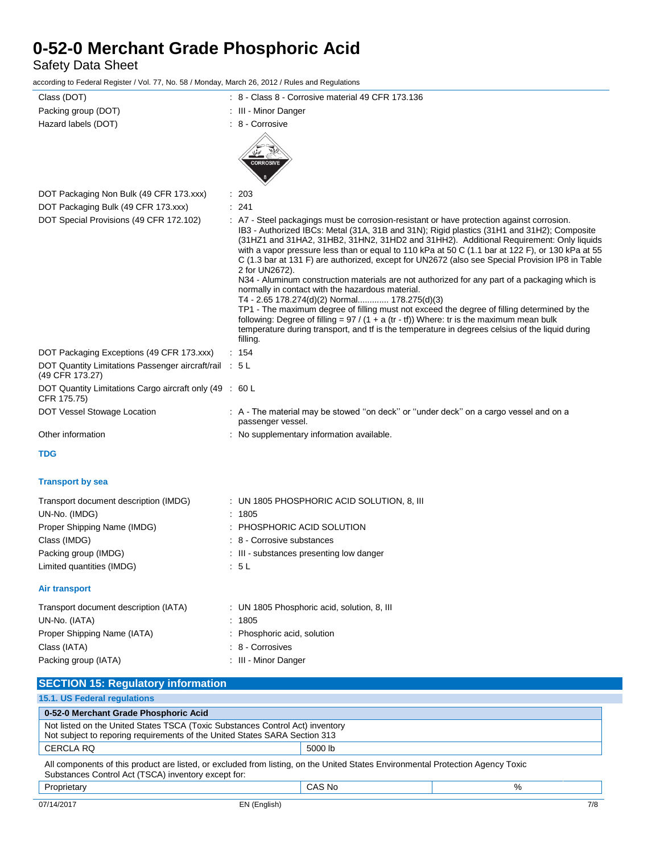Safety Data Sheet

according to Federal Register / Vol. 77, No. 58 / Monday, March 26, 2012 / Rules and Regulations

| Class (DOT)                                                               | $: 8$ - Class 8 - Corrosive material 49 CFR 173.136                                                                                                                                                                                                                                                                                                                                                                                                                                                                                                                                                                                                                                                                                                                                                                                                                                                                                                                                                                         |
|---------------------------------------------------------------------------|-----------------------------------------------------------------------------------------------------------------------------------------------------------------------------------------------------------------------------------------------------------------------------------------------------------------------------------------------------------------------------------------------------------------------------------------------------------------------------------------------------------------------------------------------------------------------------------------------------------------------------------------------------------------------------------------------------------------------------------------------------------------------------------------------------------------------------------------------------------------------------------------------------------------------------------------------------------------------------------------------------------------------------|
| Packing group (DOT)                                                       | : III - Minor Danger                                                                                                                                                                                                                                                                                                                                                                                                                                                                                                                                                                                                                                                                                                                                                                                                                                                                                                                                                                                                        |
| Hazard labels (DOT)                                                       | : 8 - Corrosive                                                                                                                                                                                                                                                                                                                                                                                                                                                                                                                                                                                                                                                                                                                                                                                                                                                                                                                                                                                                             |
|                                                                           | <b>CORROSIVE</b>                                                                                                                                                                                                                                                                                                                                                                                                                                                                                                                                                                                                                                                                                                                                                                                                                                                                                                                                                                                                            |
| DOT Packaging Non Bulk (49 CFR 173.xxx)                                   | : 203                                                                                                                                                                                                                                                                                                                                                                                                                                                                                                                                                                                                                                                                                                                                                                                                                                                                                                                                                                                                                       |
| DOT Packaging Bulk (49 CFR 173.xxx)                                       | : 241                                                                                                                                                                                                                                                                                                                                                                                                                                                                                                                                                                                                                                                                                                                                                                                                                                                                                                                                                                                                                       |
| DOT Special Provisions (49 CFR 172.102)                                   | : A7 - Steel packagings must be corrosion-resistant or have protection against corrosion.<br>IB3 - Authorized IBCs: Metal (31A, 31B and 31N); Rigid plastics (31H1 and 31H2); Composite<br>(31HZ1 and 31HA2, 31HB2, 31HN2, 31HD2 and 31HH2). Additional Requirement: Only liquids<br>with a vapor pressure less than or equal to 110 kPa at 50 C (1.1 bar at 122 F), or 130 kPa at 55<br>C (1.3 bar at 131 F) are authorized, except for UN2672 (also see Special Provision IP8 in Table<br>2 for UN2672).<br>N34 - Aluminum construction materials are not authorized for any part of a packaging which is<br>normally in contact with the hazardous material.<br>T4 - 2.65 178.274(d)(2) Normal 178.275(d)(3)<br>TP1 - The maximum degree of filling must not exceed the degree of filling determined by the<br>following: Degree of filling = $97 / (1 + a (tr - tf))$ Where: tr is the maximum mean bulk<br>temperature during transport, and tf is the temperature in degrees celsius of the liquid during<br>filling. |
| DOT Packaging Exceptions (49 CFR 173.xxx)                                 | : 154                                                                                                                                                                                                                                                                                                                                                                                                                                                                                                                                                                                                                                                                                                                                                                                                                                                                                                                                                                                                                       |
| DOT Quantity Limitations Passenger aircraft/rail : 5 L<br>(49 CFR 173.27) |                                                                                                                                                                                                                                                                                                                                                                                                                                                                                                                                                                                                                                                                                                                                                                                                                                                                                                                                                                                                                             |
| DOT Quantity Limitations Cargo aircraft only (49 : 60 L<br>CFR 175.75)    |                                                                                                                                                                                                                                                                                                                                                                                                                                                                                                                                                                                                                                                                                                                                                                                                                                                                                                                                                                                                                             |
| DOT Vessel Stowage Location                                               | : A - The material may be stowed "on deck" or "under deck" on a cargo vessel and on a<br>passenger vessel.                                                                                                                                                                                                                                                                                                                                                                                                                                                                                                                                                                                                                                                                                                                                                                                                                                                                                                                  |
| Other information                                                         | : No supplementary information available.                                                                                                                                                                                                                                                                                                                                                                                                                                                                                                                                                                                                                                                                                                                                                                                                                                                                                                                                                                                   |
| <b>TDG</b>                                                                |                                                                                                                                                                                                                                                                                                                                                                                                                                                                                                                                                                                                                                                                                                                                                                                                                                                                                                                                                                                                                             |
| <b>Transport by sea</b>                                                   |                                                                                                                                                                                                                                                                                                                                                                                                                                                                                                                                                                                                                                                                                                                                                                                                                                                                                                                                                                                                                             |
| Transport document description (IMDG)                                     | : UN 1805 PHOSPHORIC ACID SOLUTION, 8, III                                                                                                                                                                                                                                                                                                                                                                                                                                                                                                                                                                                                                                                                                                                                                                                                                                                                                                                                                                                  |
| UN-No. (IMDG)                                                             | : 1805                                                                                                                                                                                                                                                                                                                                                                                                                                                                                                                                                                                                                                                                                                                                                                                                                                                                                                                                                                                                                      |
| Proper Shipping Name (IMDG)                                               | : PHOSPHORIC ACID SOLUTION                                                                                                                                                                                                                                                                                                                                                                                                                                                                                                                                                                                                                                                                                                                                                                                                                                                                                                                                                                                                  |
| Class (IMDG)                                                              | : 8 - Corrosive substances                                                                                                                                                                                                                                                                                                                                                                                                                                                                                                                                                                                                                                                                                                                                                                                                                                                                                                                                                                                                  |
| Packing group (IMDG)                                                      | : III - substances presenting low danger                                                                                                                                                                                                                                                                                                                                                                                                                                                                                                                                                                                                                                                                                                                                                                                                                                                                                                                                                                                    |
| Limited quantities (IMDG)                                                 | : 5L                                                                                                                                                                                                                                                                                                                                                                                                                                                                                                                                                                                                                                                                                                                                                                                                                                                                                                                                                                                                                        |
| Air transport                                                             |                                                                                                                                                                                                                                                                                                                                                                                                                                                                                                                                                                                                                                                                                                                                                                                                                                                                                                                                                                                                                             |
| Transport document description (IATA)                                     | : UN 1805 Phosphoric acid, solution, 8, III                                                                                                                                                                                                                                                                                                                                                                                                                                                                                                                                                                                                                                                                                                                                                                                                                                                                                                                                                                                 |
| UN-No. (IATA)                                                             | : 1805                                                                                                                                                                                                                                                                                                                                                                                                                                                                                                                                                                                                                                                                                                                                                                                                                                                                                                                                                                                                                      |
| Proper Shipping Name (IATA)                                               | Phosphoric acid, solution<br>÷.                                                                                                                                                                                                                                                                                                                                                                                                                                                                                                                                                                                                                                                                                                                                                                                                                                                                                                                                                                                             |
| Class (IATA)                                                              | : 8 - Corrosives                                                                                                                                                                                                                                                                                                                                                                                                                                                                                                                                                                                                                                                                                                                                                                                                                                                                                                                                                                                                            |
| Packing group (IATA)                                                      | : III - Minor Danger                                                                                                                                                                                                                                                                                                                                                                                                                                                                                                                                                                                                                                                                                                                                                                                                                                                                                                                                                                                                        |
| <b>SECTION 15: Regulatory information</b>                                 |                                                                                                                                                                                                                                                                                                                                                                                                                                                                                                                                                                                                                                                                                                                                                                                                                                                                                                                                                                                                                             |
| 15.1. US Federal regulations                                              |                                                                                                                                                                                                                                                                                                                                                                                                                                                                                                                                                                                                                                                                                                                                                                                                                                                                                                                                                                                                                             |
| 0-52-0 Merchant Grade Phosphoric Acid                                     |                                                                                                                                                                                                                                                                                                                                                                                                                                                                                                                                                                                                                                                                                                                                                                                                                                                                                                                                                                                                                             |

| Not listed on the United States TSCA (Toxic Substances Control Act) inventory<br>Not subject to reporing requirements of the United States SARA Section 313 |         |  |
|-------------------------------------------------------------------------------------------------------------------------------------------------------------|---------|--|
| CERCLA RQ                                                                                                                                                   | 5000 lb |  |
| .                                                                                                                                                           |         |  |

All components of this product are listed, or excluded from listing, on the United States Environmental Protection Agency Toxic Substances Control Act (TSCA) inventory except for:

# Proprietary CAS No %